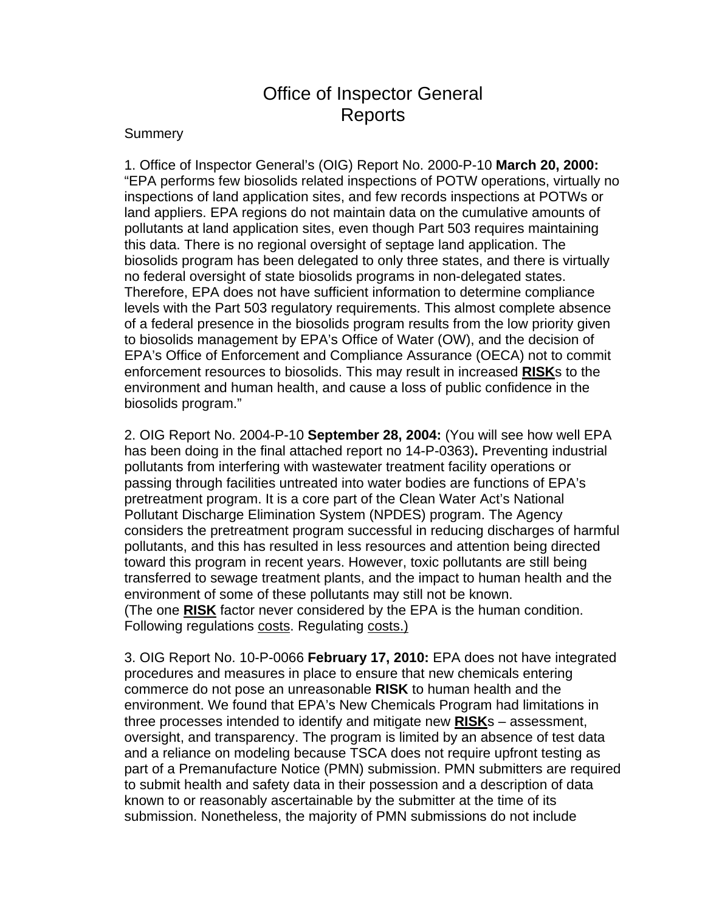## Office of Inspector General Reports

## **Summery**

1. Office of Inspector General's (OIG) Report No. 2000-P-10 **March 20, 2000:** "EPA performs few biosolids related inspections of POTW operations, virtually no inspections of land application sites, and few records inspections at POTWs or land appliers. EPA regions do not maintain data on the cumulative amounts of pollutants at land application sites, even though Part 503 requires maintaining this data. There is no regional oversight of septage land application. The biosolids program has been delegated to only three states, and there is virtually no federal oversight of state biosolids programs in non-delegated states. Therefore, EPA does not have sufficient information to determine compliance levels with the Part 503 regulatory requirements. This almost complete absence of a federal presence in the biosolids program results from the low priority given to biosolids management by EPA's Office of Water (OW), and the decision of EPA's Office of Enforcement and Compliance Assurance (OECA) not to commit enforcement resources to biosolids. This may result in increased **RISK**s to the environment and human health, and cause a loss of public confidence in the biosolids program."

2. OIG Report No. 2004-P-10 **September 28, 2004:** (You will see how well EPA has been doing in the final attached report no 14-P-0363)**.** Preventing industrial pollutants from interfering with wastewater treatment facility operations or passing through facilities untreated into water bodies are functions of EPA's pretreatment program. It is a core part of the Clean Water Act's National Pollutant Discharge Elimination System (NPDES) program. The Agency considers the pretreatment program successful in reducing discharges of harmful pollutants, and this has resulted in less resources and attention being directed toward this program in recent years. However, toxic pollutants are still being transferred to sewage treatment plants, and the impact to human health and the environment of some of these pollutants may still not be known. (The one **RISK** factor never considered by the EPA is the human condition. Following regulations costs. Regulating costs.)

3. OIG Report No. 10-P-0066 **February 17, 2010:** EPA does not have integrated procedures and measures in place to ensure that new chemicals entering commerce do not pose an unreasonable **RISK** to human health and the environment. We found that EPA's New Chemicals Program had limitations in three processes intended to identify and mitigate new **RISK**s – assessment, oversight, and transparency. The program is limited by an absence of test data and a reliance on modeling because TSCA does not require upfront testing as part of a Premanufacture Notice (PMN) submission. PMN submitters are required to submit health and safety data in their possession and a description of data known to or reasonably ascertainable by the submitter at the time of its submission. Nonetheless, the majority of PMN submissions do not include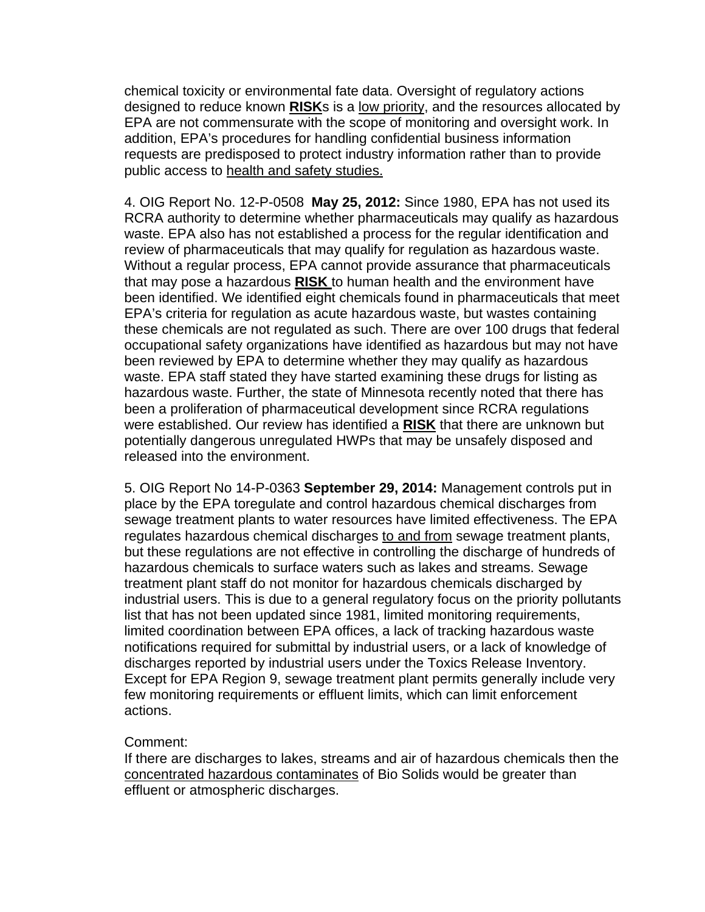chemical toxicity or environmental fate data. Oversight of regulatory actions designed to reduce known **RISK**s is a low priority, and the resources allocated by EPA are not commensurate with the scope of monitoring and oversight work. In addition, EPA's procedures for handling confidential business information requests are predisposed to protect industry information rather than to provide public access to health and safety studies.

4. OIG Report No. 12-P-0508 **May 25, 2012:** Since 1980, EPA has not used its RCRA authority to determine whether pharmaceuticals may qualify as hazardous waste. EPA also has not established a process for the regular identification and review of pharmaceuticals that may qualify for regulation as hazardous waste. Without a regular process, EPA cannot provide assurance that pharmaceuticals that may pose a hazardous **RISK** to human health and the environment have been identified. We identified eight chemicals found in pharmaceuticals that meet EPA's criteria for regulation as acute hazardous waste, but wastes containing these chemicals are not regulated as such. There are over 100 drugs that federal occupational safety organizations have identified as hazardous but may not have been reviewed by EPA to determine whether they may qualify as hazardous waste. EPA staff stated they have started examining these drugs for listing as hazardous waste. Further, the state of Minnesota recently noted that there has been a proliferation of pharmaceutical development since RCRA regulations were established. Our review has identified a **RISK** that there are unknown but potentially dangerous unregulated HWPs that may be unsafely disposed and released into the environment.

5. OIG Report No 14-P-0363 **September 29, 2014:** Management controls put in place by the EPA toregulate and control hazardous chemical discharges from sewage treatment plants to water resources have limited effectiveness. The EPA regulates hazardous chemical discharges to and from sewage treatment plants, but these regulations are not effective in controlling the discharge of hundreds of hazardous chemicals to surface waters such as lakes and streams. Sewage treatment plant staff do not monitor for hazardous chemicals discharged by industrial users. This is due to a general regulatory focus on the priority pollutants list that has not been updated since 1981, limited monitoring requirements, limited coordination between EPA offices, a lack of tracking hazardous waste notifications required for submittal by industrial users, or a lack of knowledge of discharges reported by industrial users under the Toxics Release Inventory. Except for EPA Region 9, sewage treatment plant permits generally include very few monitoring requirements or effluent limits, which can limit enforcement actions.

## Comment:

If there are discharges to lakes, streams and air of hazardous chemicals then the concentrated hazardous contaminates of Bio Solids would be greater than effluent or atmospheric discharges.